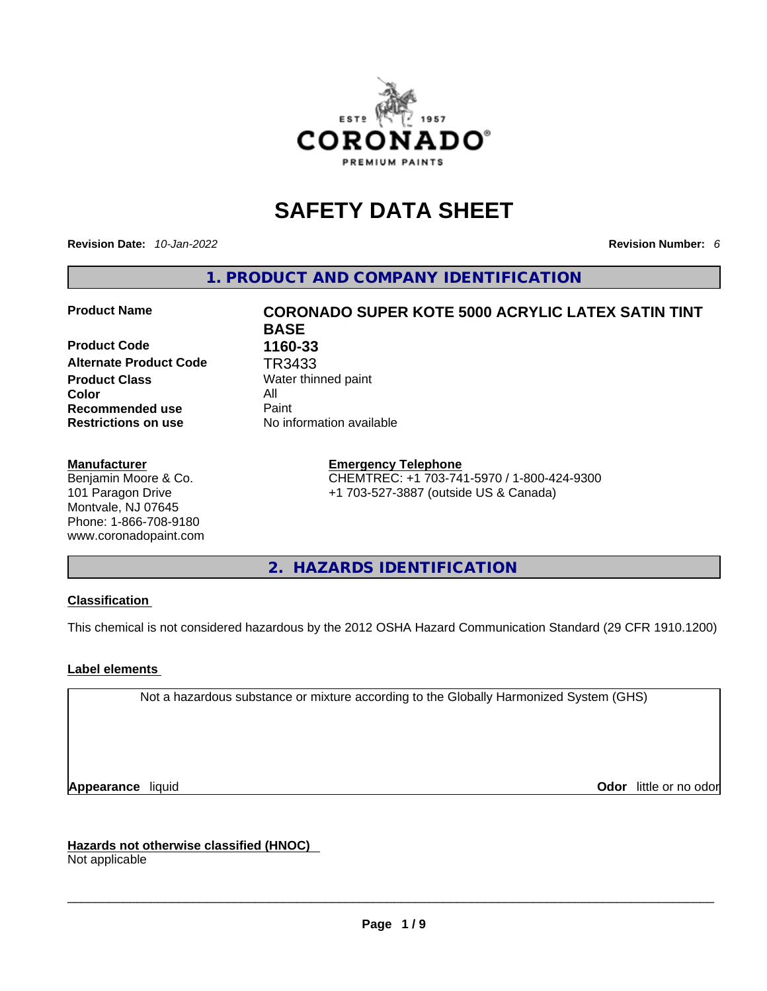

# **SAFETY DATA SHEET**

**Revision Date:** *10-Jan-2022* **Revision Number:** *6*

**1. PRODUCT AND COMPANY IDENTIFICATION** 

**Product Code 1160-33 Alternate Product Code TR3433**<br>**Product Class** Water thin **Color** All **Recommended use All Property Recommended use Restrictions on use** No information available

#### **Manufacturer**

Benjamin Moore & Co. 101 Paragon Drive Montvale, NJ 07645 Phone: 1-866-708-9180 www.coronadopaint.com

# **Product Name CORONADO SUPER KOTE 5000 ACRYLIC LATEX SATIN TINT BASE Water thinned paint**

**Emergency Telephone**

CHEMTREC: +1 703-741-5970 / 1-800-424-9300 +1 703-527-3887 (outside US & Canada)

**2. HAZARDS IDENTIFICATION** 

#### **Classification**

This chemical is not considered hazardous by the 2012 OSHA Hazard Communication Standard (29 CFR 1910.1200)

#### **Label elements**

Not a hazardous substance or mixture according to the Globally Harmonized System (GHS)

**Appearance** liquid **Odor 11** and **Odor 11** and **Odor 11** and **Odor 11** and **Odor 11** and **Odor** 11 and **Odor** 11 and **Odor** 11 and **Odor** 11 and **Odor** 11 and **Odor** 11 and **Odor** 11 and **Odor** 11 and **Odor** 11 and **Odor** 

**Hazards not otherwise classified (HNOC)**  Not applicable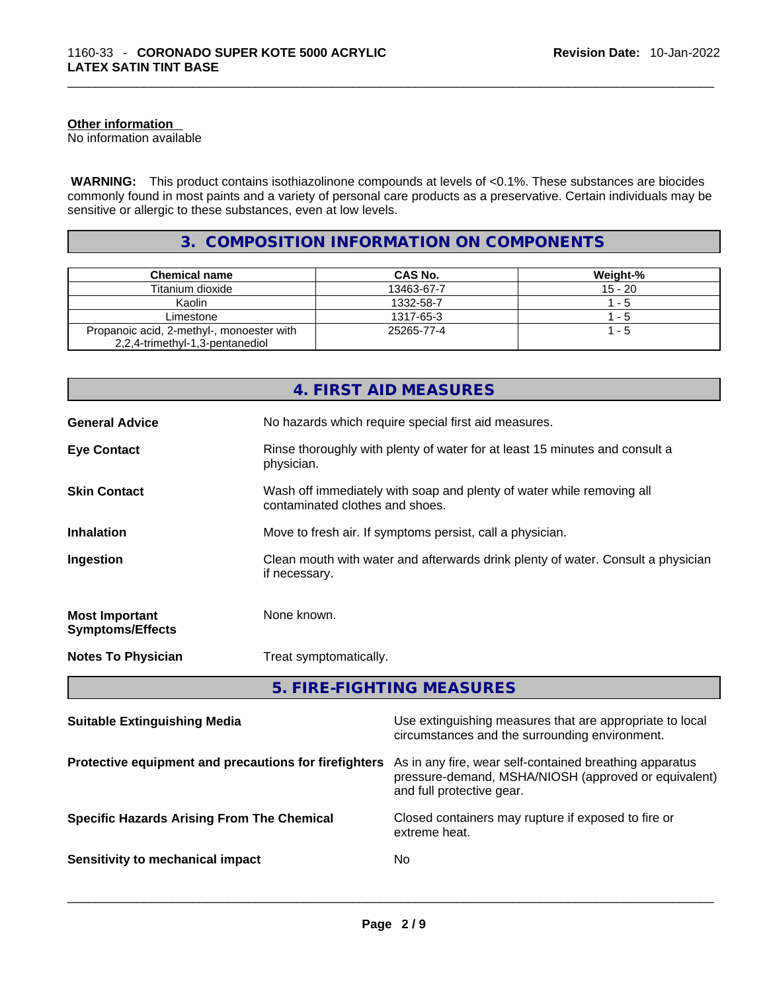#### **Other information**

No information available

 **WARNING:** This product contains isothiazolinone compounds at levels of <0.1%. These substances are biocides commonly found in most paints and a variety of personal care products as a preservative. Certain individuals may be sensitive or allergic to these substances, even at low levels.

#### **3. COMPOSITION INFORMATION ON COMPONENTS**

| <b>Chemical name</b>                      | CAS No.    | <b>Weight-%</b> |
|-------------------------------------------|------------|-----------------|
| Titanium dioxide                          | 13463-67-7 | $15 - 20$       |
| Kaolin                                    | 1332-58-7  | $1 - 5$         |
| Limestone                                 | 1317-65-3  | 1 - 5           |
| Propanoic acid, 2-methyl-, monoester with | 25265-77-4 | 1 - 5           |
| 2,2,4-trimethyl-1,3-pentanediol           |            |                 |

|                                                  | 4. FIRST AID MEASURES                                                                                    |  |
|--------------------------------------------------|----------------------------------------------------------------------------------------------------------|--|
| <b>General Advice</b>                            | No hazards which require special first aid measures.                                                     |  |
| <b>Eye Contact</b>                               | Rinse thoroughly with plenty of water for at least 15 minutes and consult a<br>physician.                |  |
| <b>Skin Contact</b>                              | Wash off immediately with soap and plenty of water while removing all<br>contaminated clothes and shoes. |  |
| <b>Inhalation</b>                                | Move to fresh air. If symptoms persist, call a physician.                                                |  |
| Ingestion                                        | Clean mouth with water and afterwards drink plenty of water. Consult a physician<br>if necessary.        |  |
| <b>Most Important</b><br><b>Symptoms/Effects</b> | None known.                                                                                              |  |
| <b>Notes To Physician</b>                        | Treat symptomatically.                                                                                   |  |

**5. FIRE-FIGHTING MEASURES** 

| <b>Suitable Extinguishing Media</b>                   | Use extinguishing measures that are appropriate to local<br>circumstances and the surrounding environment.                                   |
|-------------------------------------------------------|----------------------------------------------------------------------------------------------------------------------------------------------|
| Protective equipment and precautions for firefighters | As in any fire, wear self-contained breathing apparatus<br>pressure-demand, MSHA/NIOSH (approved or equivalent)<br>and full protective gear. |
| <b>Specific Hazards Arising From The Chemical</b>     | Closed containers may rupture if exposed to fire or<br>extreme heat.                                                                         |
| Sensitivity to mechanical impact                      | No                                                                                                                                           |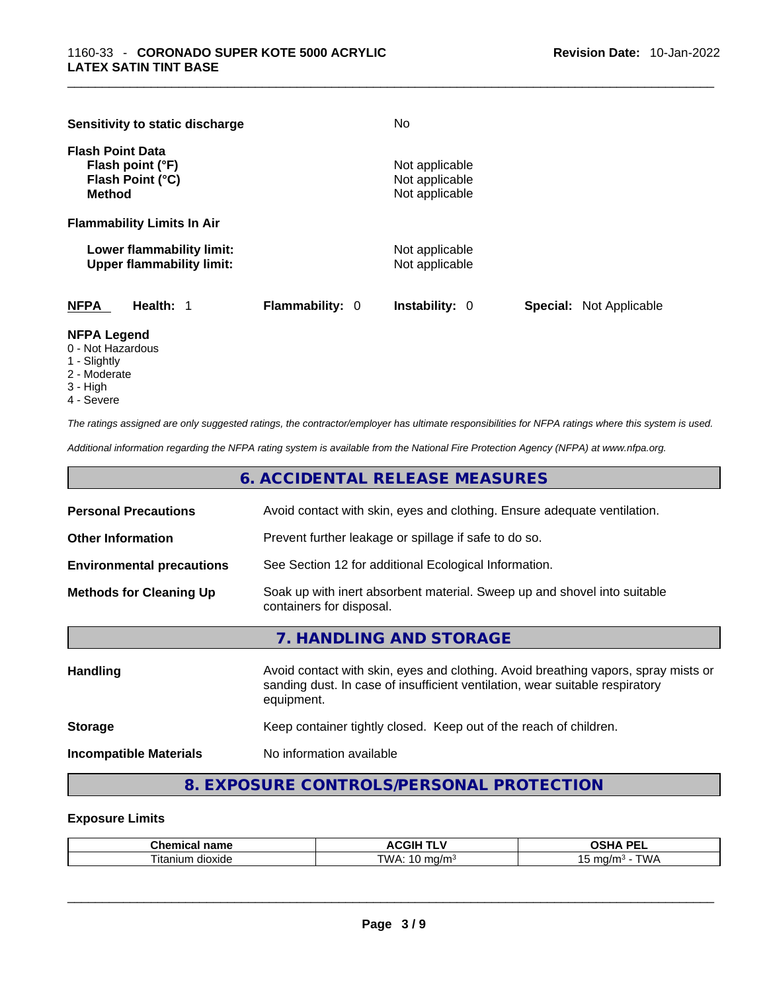|                                          | Sensitivity to static discharge                               |                        | No.                                                |                                |
|------------------------------------------|---------------------------------------------------------------|------------------------|----------------------------------------------------|--------------------------------|
| <b>Flash Point Data</b><br><b>Method</b> | Flash point (°F)<br>Flash Point (°C)                          |                        | Not applicable<br>Not applicable<br>Not applicable |                                |
|                                          | <b>Flammability Limits In Air</b>                             |                        |                                                    |                                |
|                                          | Lower flammability limit:<br><b>Upper flammability limit:</b> |                        | Not applicable<br>Not applicable                   |                                |
| <b>NFPA</b>                              | Health: 1                                                     | <b>Flammability: 0</b> | <b>Instability: 0</b>                              | <b>Special:</b> Not Applicable |

#### **NFPA Legend**

- 0 Not Hazardous
- 1 Slightly
- 2 Moderate
- 3 High
- 4 Severe

*The ratings assigned are only suggested ratings, the contractor/employer has ultimate responsibilities for NFPA ratings where this system is used.* 

*Additional information regarding the NFPA rating system is available from the National Fire Protection Agency (NFPA) at www.nfpa.org.* 

| 6. ACCIDENTAL RELEASE MEASURES                                                            |                                                                                                      |  |
|-------------------------------------------------------------------------------------------|------------------------------------------------------------------------------------------------------|--|
| <b>Personal Precautions</b>                                                               | Avoid contact with skin, eyes and clothing. Ensure adequate ventilation.                             |  |
| <b>Other Information</b><br>Prevent further leakage or spillage if safe to do so.         |                                                                                                      |  |
| See Section 12 for additional Ecological Information.<br><b>Environmental precautions</b> |                                                                                                      |  |
| <b>Methods for Cleaning Up</b>                                                            | Soak up with inert absorbent material. Sweep up and shovel into suitable<br>containers for disposal. |  |
|                                                                                           | 7. HANDLING AND STORAGE                                                                              |  |

| <b>Handling</b>               | Avoid contact with skin, eyes and clothing. Avoid breathing vapors, spray mists or<br>sanding dust. In case of insufficient ventilation, wear suitable respiratory<br>equipment. |
|-------------------------------|----------------------------------------------------------------------------------------------------------------------------------------------------------------------------------|
| <b>Storage</b>                | Keep container tightly closed. Keep out of the reach of children.                                                                                                                |
| <b>Incompatible Materials</b> | No information available                                                                                                                                                         |

### **8. EXPOSURE CONTROLS/PERSONAL PROTECTION**

#### **Exposure Limits**

| $\sim$ $\sim$ $\sim$<br>name<br>тиса.<br>unen | . <b>.</b><br><b>\CGIF</b><br>. .            | <b>DE</b><br>பட<br>--                                     |
|-----------------------------------------------|----------------------------------------------|-----------------------------------------------------------|
| dioxide<br>. itanium                          | TW/<br>ma/m∘<br>$\cdot$ $\bm{\omega}$<br>. . | $\mathbf{u}$<br>, ma/m<br><b>VVF</b><br>.<br><b>v</b> v / |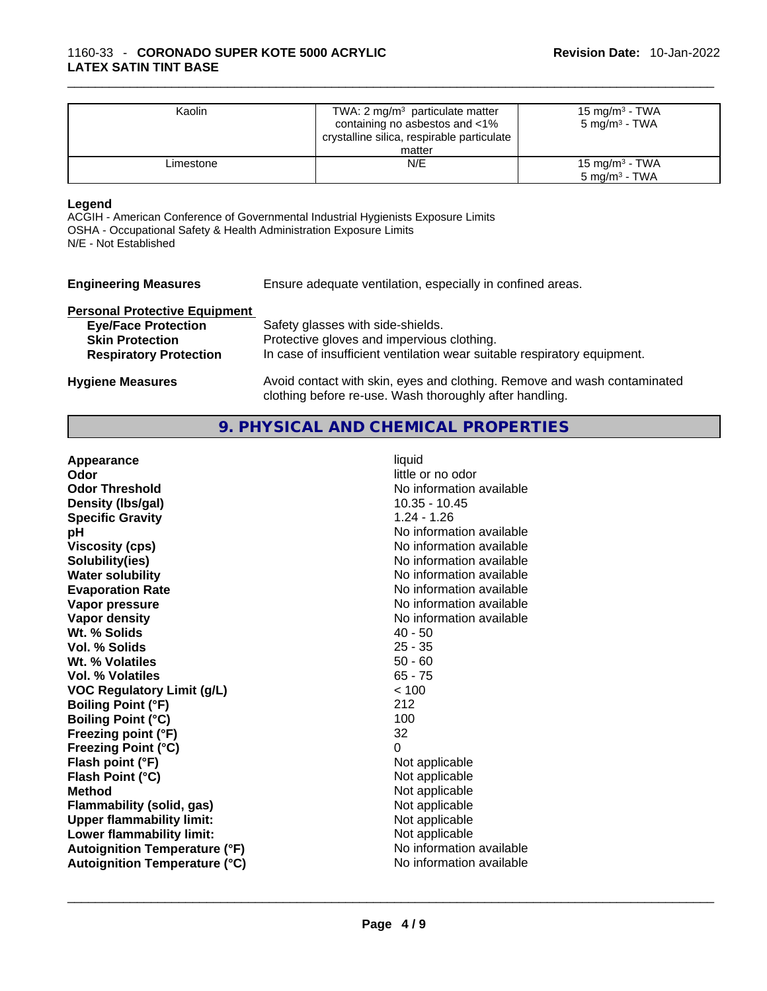| Kaolin    | TWA: 2 $mg/m3$ particulate matter<br>containing no asbestos and <1%<br>crystalline silica, respirable particulate<br>matter | 15 mg/m $3$ - TWA<br>$5 \text{ mg/m}^3$ - TWA |  |
|-----------|-----------------------------------------------------------------------------------------------------------------------------|-----------------------------------------------|--|
| Limestone | N/E                                                                                                                         | 15 mg/m $3$ - TWA<br>$5 \text{ ma/m}^3$ - TWA |  |

#### **Legend**

ACGIH - American Conference of Governmental Industrial Hygienists Exposure Limits OSHA - Occupational Safety & Health Administration Exposure Limits N/E - Not Established

| <b>Engineering Measures</b>          | Ensure adequate ventilation, especially in confined areas. |
|--------------------------------------|------------------------------------------------------------|
| <b>Derconal Protective Equipment</b> |                                                            |

| <b>Personal Protective Equipment</b> |                                                                          |
|--------------------------------------|--------------------------------------------------------------------------|
| <b>Eye/Face Protection</b>           | Safety glasses with side-shields.                                        |
| <b>Skin Protection</b>               | Protective gloves and impervious clothing.                               |
| <b>Respiratory Protection</b>        | In case of insufficient ventilation wear suitable respiratory equipment. |
| <b>Hygiene Measures</b>              | Avoid contact with skin, eyes and clothing. Remove and wash contaminated |

#### **9. PHYSICAL AND CHEMICAL PROPERTIES**

clothing before re-use. Wash thoroughly after handling.

| Appearance                           | liquid                   |
|--------------------------------------|--------------------------|
| Odor                                 | little or no odor        |
| <b>Odor Threshold</b>                | No information available |
| Density (Ibs/gal)                    | $10.35 - 10.45$          |
| <b>Specific Gravity</b>              | $1.24 - 1.26$            |
| pH                                   | No information available |
| <b>Viscosity (cps)</b>               | No information available |
| Solubility(ies)                      | No information available |
| <b>Water solubility</b>              | No information available |
| <b>Evaporation Rate</b>              | No information available |
| Vapor pressure                       | No information available |
| Vapor density                        | No information available |
| Wt. % Solids                         | $40 - 50$                |
| Vol. % Solids                        | $25 - 35$                |
| Wt. % Volatiles                      | $50 - 60$                |
| Vol. % Volatiles                     | $65 - 75$                |
| <b>VOC Regulatory Limit (g/L)</b>    | < 100                    |
| <b>Boiling Point (°F)</b>            | 212                      |
| <b>Boiling Point (°C)</b>            | 100                      |
| Freezing point (°F)                  | 32                       |
| <b>Freezing Point (°C)</b>           | $\Omega$                 |
| Flash point (°F)                     | Not applicable           |
| Flash Point (°C)                     | Not applicable           |
| <b>Method</b>                        | Not applicable           |
| Flammability (solid, gas)            | Not applicable           |
| <b>Upper flammability limit:</b>     | Not applicable           |
| Lower flammability limit:            | Not applicable           |
| <b>Autoignition Temperature (°F)</b> | No information available |
| <b>Autoignition Temperature (°C)</b> | No information available |
|                                      |                          |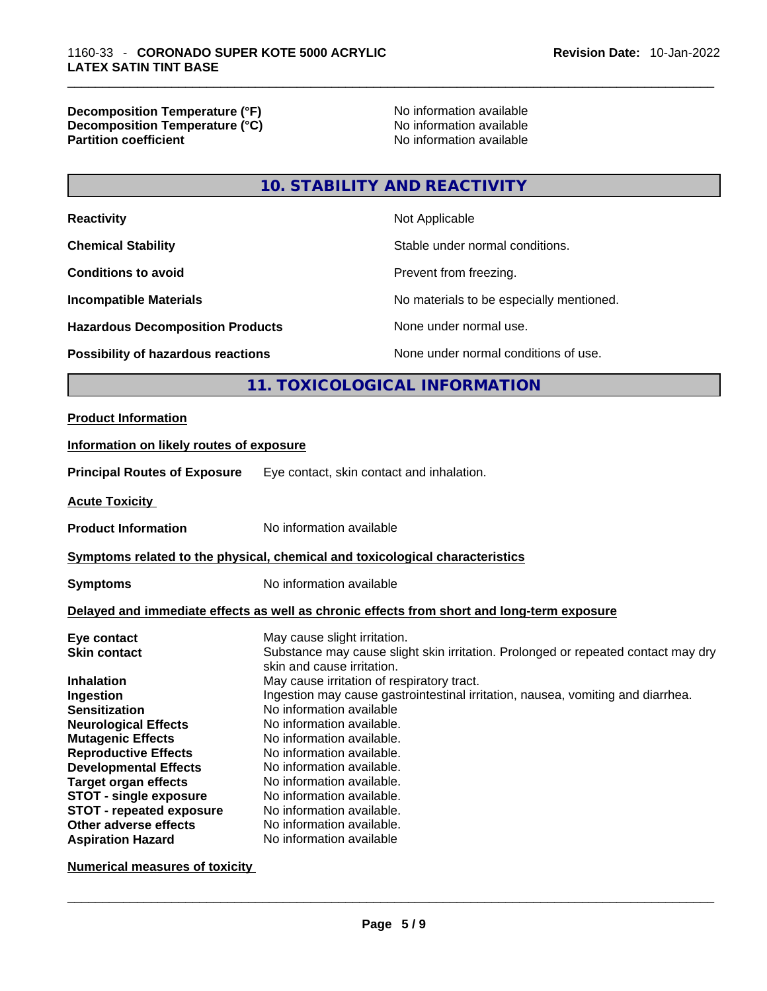#### **Decomposition Temperature (°F)** No information available **Decomposition Temperature (°C)** No information available **Partition coefficient**

## **10. STABILITY AND REACTIVITY**

| <b>Reactivity</b>                                                            | Not Applicable                                                                    |                                                                                            |  |
|------------------------------------------------------------------------------|-----------------------------------------------------------------------------------|--------------------------------------------------------------------------------------------|--|
| <b>Chemical Stability</b>                                                    | Stable under normal conditions.                                                   |                                                                                            |  |
| <b>Conditions to avoid</b>                                                   | Prevent from freezing.                                                            |                                                                                            |  |
| <b>Incompatible Materials</b>                                                |                                                                                   | No materials to be especially mentioned.                                                   |  |
| <b>Hazardous Decomposition Products</b>                                      |                                                                                   | None under normal use.                                                                     |  |
| Possibility of hazardous reactions                                           |                                                                                   | None under normal conditions of use.                                                       |  |
|                                                                              |                                                                                   | 11. TOXICOLOGICAL INFORMATION                                                              |  |
| <b>Product Information</b>                                                   |                                                                                   |                                                                                            |  |
| Information on likely routes of exposure                                     |                                                                                   |                                                                                            |  |
| <b>Principal Routes of Exposure</b>                                          | Eye contact, skin contact and inhalation.                                         |                                                                                            |  |
| <b>Acute Toxicity</b>                                                        |                                                                                   |                                                                                            |  |
| <b>Product Information</b>                                                   | No information available                                                          |                                                                                            |  |
| Symptoms related to the physical, chemical and toxicological characteristics |                                                                                   |                                                                                            |  |
| <b>Symptoms</b>                                                              | No information available                                                          |                                                                                            |  |
|                                                                              |                                                                                   | Delayed and immediate effects as well as chronic effects from short and long-term exposure |  |
| Eye contact                                                                  | May cause slight irritation.                                                      |                                                                                            |  |
| <b>Skin contact</b>                                                          | Substance may cause slight skin irritation. Prolonged or repeated contact may dry |                                                                                            |  |
| Inhalation                                                                   | skin and cause irritation.<br>May cause irritation of respiratory tract.          |                                                                                            |  |
| Ingestion                                                                    |                                                                                   | Ingestion may cause gastrointestinal irritation, nausea, vomiting and diarrhea.            |  |
| <b>Sensitization</b>                                                         | No information available                                                          |                                                                                            |  |
| <b>Neurological Effects</b>                                                  | No information available.                                                         |                                                                                            |  |
| <b>Mutagenic Effects</b>                                                     | No information available.                                                         |                                                                                            |  |
| <b>Reproductive Effects</b>                                                  | No information available.                                                         |                                                                                            |  |
| <b>Developmental Effects</b>                                                 | No information available.                                                         |                                                                                            |  |
| <b>Target organ effects</b>                                                  | No information available.                                                         |                                                                                            |  |
| <b>STOT - single exposure</b>                                                | No information available.                                                         |                                                                                            |  |
| <b>STOT - repeated exposure</b>                                              | No information available.                                                         |                                                                                            |  |
| Other adverse effects                                                        | No information available.                                                         |                                                                                            |  |
| <b>Aspiration Hazard</b>                                                     | No information available                                                          |                                                                                            |  |

**Numerical measures of toxicity**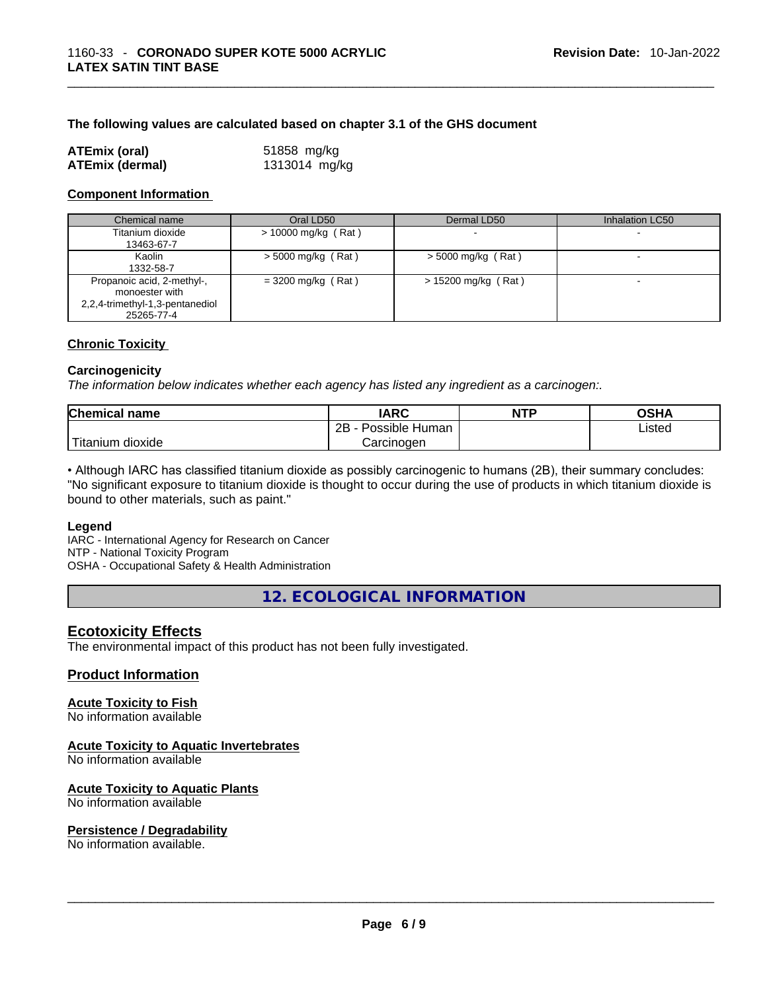#### **The following values are calculated based on chapter 3.1 of the GHS document**

| ATEmix (oral)          | 51858 mg/kg   |  |
|------------------------|---------------|--|
| <b>ATEmix (dermal)</b> | 1313014 mg/kg |  |

#### **Component Information**

| Chemical name                                                                                 | Oral LD50            | Dermal LD50          | Inhalation LC50          |
|-----------------------------------------------------------------------------------------------|----------------------|----------------------|--------------------------|
| Titanium dioxide<br>13463-67-7                                                                | > 10000 mg/kg (Rat)  |                      | $\overline{\phantom{a}}$ |
| Kaolin<br>1332-58-7                                                                           | $> 5000$ mg/kg (Rat) | $>$ 5000 mg/kg (Rat) |                          |
| Propanoic acid, 2-methyl-,<br>monoester with<br>2,2,4-trimethyl-1,3-pentanediol<br>25265-77-4 | $=$ 3200 mg/kg (Rat) | > 15200 mg/kg (Rat)  | $\overline{\phantom{a}}$ |

#### **Chronic Toxicity**

#### **Carcinogenicity**

*The information below indicates whether each agency has listed any ingredient as a carcinogen:.* 

| <b>Chemical name</b>    | IARC                 | <b>NTP</b> | OSHA   |
|-------------------------|----------------------|------------|--------|
|                         | 2B<br>Possible Human |            | Listed |
| ' Titanium J<br>dioxide | Carcinoɑen           |            |        |

• Although IARC has classified titanium dioxide as possibly carcinogenic to humans (2B), their summary concludes: "No significant exposure to titanium dioxide is thought to occur during the use of products in which titanium dioxide is bound to other materials, such as paint."

#### **Legend**

IARC - International Agency for Research on Cancer NTP - National Toxicity Program OSHA - Occupational Safety & Health Administration

**12. ECOLOGICAL INFORMATION** 

#### **Ecotoxicity Effects**

The environmental impact of this product has not been fully investigated.

#### **Product Information**

#### **Acute Toxicity to Fish**

No information available

#### **Acute Toxicity to Aquatic Invertebrates**

No information available

#### **Acute Toxicity to Aquatic Plants**

No information available

# **Persistence / Degradability**

No information available. \_\_\_\_\_\_\_\_\_\_\_\_\_\_\_\_\_\_\_\_\_\_\_\_\_\_\_\_\_\_\_\_\_\_\_\_\_\_\_\_\_\_\_\_\_\_\_\_\_\_\_\_\_\_\_\_\_\_\_\_\_\_\_\_\_\_\_\_\_\_\_\_\_\_\_\_\_\_\_\_\_\_\_\_\_\_\_\_\_\_\_\_\_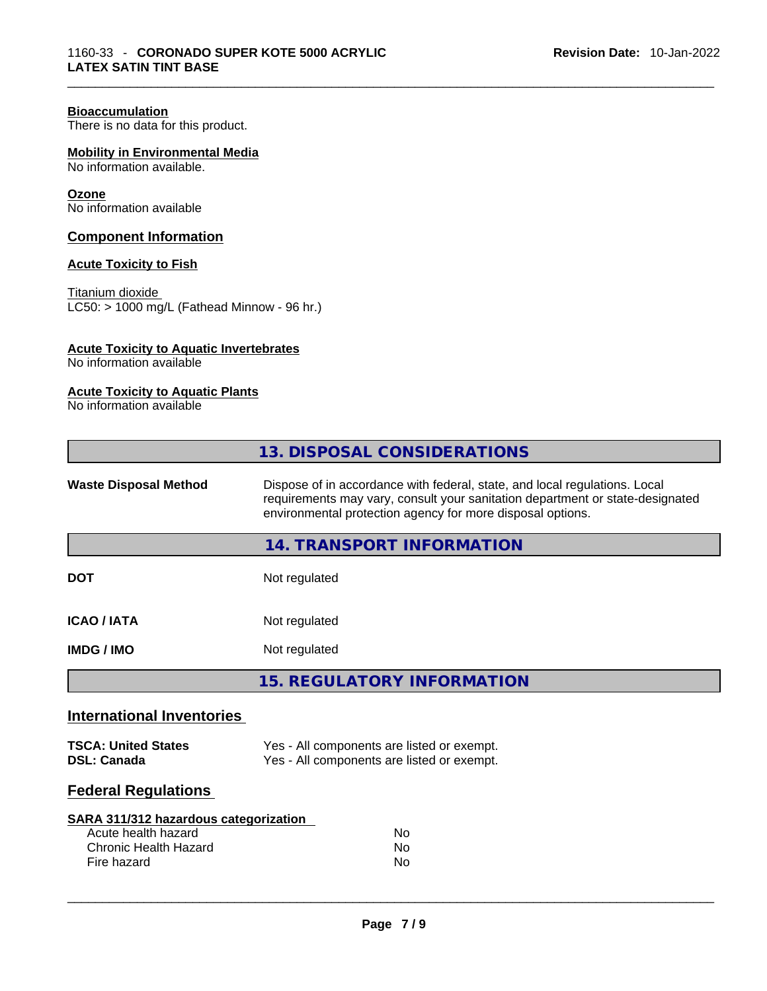#### **Bioaccumulation**

There is no data for this product.

**Mobility in Environmental Media**

No information available.

#### **Ozone**

No information available

#### **Component Information**

#### **Acute Toxicity to Fish**

Titanium dioxide LC50: > 1000 mg/L (Fathead Minnow - 96 hr.)

#### **Acute Toxicity to Aquatic Invertebrates**

No information available

#### **Acute Toxicity to Aquatic Plants**

No information available

| 13. DISPOSAL CONSIDERATIONS                                                                                                                                                                                                                               |  |
|-----------------------------------------------------------------------------------------------------------------------------------------------------------------------------------------------------------------------------------------------------------|--|
| Dispose of in accordance with federal, state, and local regulations. Local<br><b>Waste Disposal Method</b><br>requirements may vary, consult your sanitation department or state-designated<br>environmental protection agency for more disposal options. |  |
| 14. TRANSPORT INFORMATION                                                                                                                                                                                                                                 |  |
| <b>DOT</b><br>Not regulated                                                                                                                                                                                                                               |  |
| <b>ICAO / IATA</b><br>Not regulated                                                                                                                                                                                                                       |  |
| Not regulated<br><b>IMDG / IMO</b>                                                                                                                                                                                                                        |  |
| <b>15. REGULATORY INFORMATION</b>                                                                                                                                                                                                                         |  |
| <b>International Inventories</b>                                                                                                                                                                                                                          |  |
| Yes - All components are listed or exempt.<br><b>TSCA: United States</b><br><b>DSL: Canada</b><br>Yes - All components are listed or exempt.                                                                                                              |  |
| <b>Federal Regulations</b>                                                                                                                                                                                                                                |  |
| <b>SARA 311/312 hazardous categorization</b><br>Acute health hazard<br><b>No</b><br><b>Chronic Health Hazard</b><br>No                                                                                                                                    |  |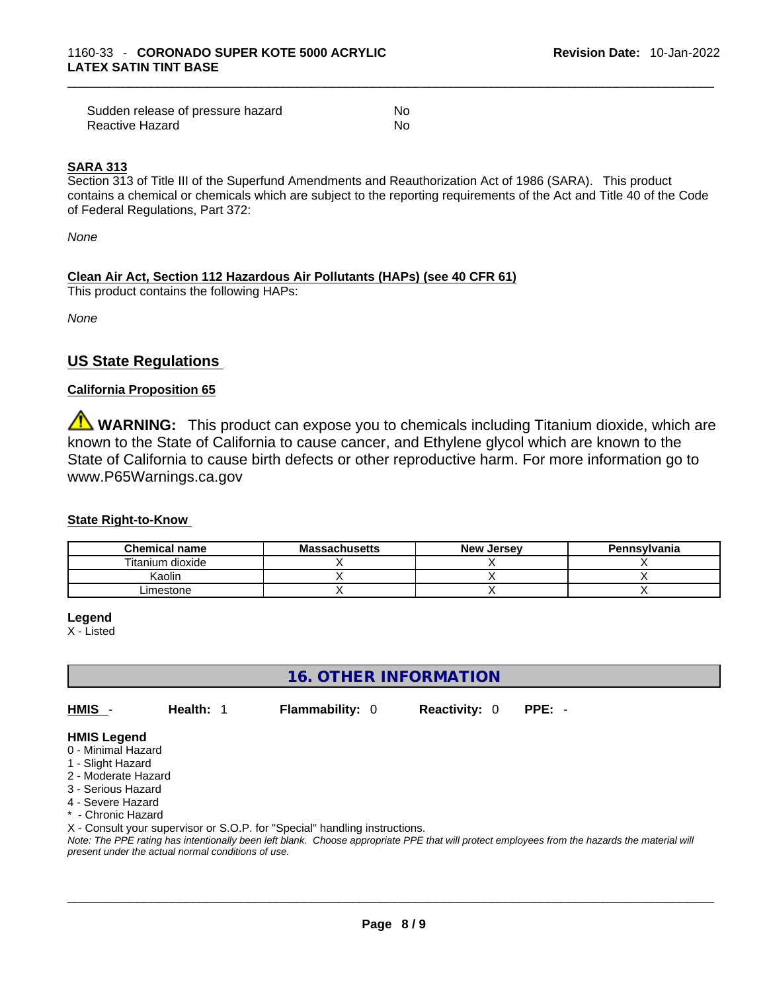| Sudden release of pressure hazard | No  |
|-----------------------------------|-----|
| Reactive Hazard                   | No. |

#### **SARA 313**

Section 313 of Title III of the Superfund Amendments and Reauthorization Act of 1986 (SARA). This product contains a chemical or chemicals which are subject to the reporting requirements of the Act and Title 40 of the Code of Federal Regulations, Part 372:

*None*

#### **Clean Air Act,Section 112 Hazardous Air Pollutants (HAPs) (see 40 CFR 61)**

This product contains the following HAPs:

*None*

#### **US State Regulations**

#### **California Proposition 65**

**WARNING:** This product can expose you to chemicals including Titanium dioxide, which are known to the State of California to cause cancer, and Ethylene glycol which are known to the State of California to cause birth defects or other reproductive harm. For more information go to www.P65Warnings.ca.gov

#### **State Right-to-Know**

| <b>Chemical name</b> | <b>Massachusetts</b> | <b>New Jersey</b> | Pennsylvania |
|----------------------|----------------------|-------------------|--------------|
| Titanium dioxide     |                      |                   |              |
| Kaolin               |                      |                   |              |
| ∟imestone            |                      |                   |              |

**Legend**

X - Listed

#### **16. OTHER INFORMATION**

**HMIS** - **Health:** 1 **Flammability:** 0 **Reactivity:** 0 **PPE:** -

#### **HMIS Legend**

- 0 Minimal Hazard
- 1 Slight Hazard
- 2 Moderate Hazard
- 3 Serious Hazard
- 4 Severe Hazard
- \* Chronic Hazard

X - Consult your supervisor or S.O.P. for "Special" handling instructions.

Note: The PPE rating has intentionally been left blank. Choose appropriate PPE that will protect employees from the hazards the material will *present under the actual normal conditions of use.*